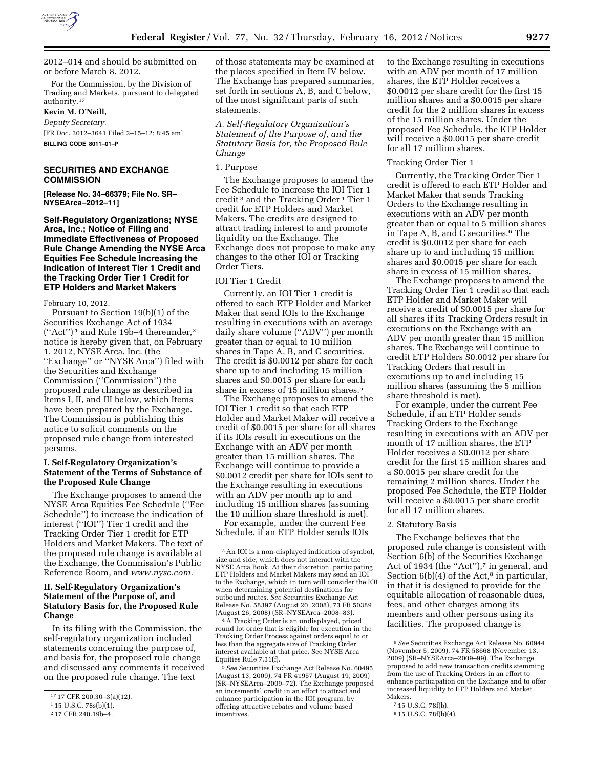

2012–014 and should be submitted on or before March 8, 2012.

For the Commission, by the Division of Trading and Markets, pursuant to delegated authority.17

**Kevin M. O'Neill,**  *Deputy Secretary.*  [FR Doc. 2012–3641 Filed 2–15–12; 8:45 am]

**BILLING CODE 8011–01–P** 

# **SECURITIES AND EXCHANGE COMMISSION**

**[Release No. 34–66379; File No. SR– NYSEArca–2012–11]** 

**Self-Regulatory Organizations; NYSE Arca, Inc.; Notice of Filing and Immediate Effectiveness of Proposed Rule Change Amending the NYSE Arca Equities Fee Schedule Increasing the Indication of Interest Tier 1 Credit and the Tracking Order Tier 1 Credit for ETP Holders and Market Makers** 

February 10, 2012.

Pursuant to Section 19(b)(1) of the Securities Exchange Act of 1934  $("Act")^1$  and Rule 19b-4 thereunder,<sup>2</sup> notice is hereby given that, on February 1, 2012, NYSE Arca, Inc. (the ''Exchange'' or ''NYSE Arca'') filed with the Securities and Exchange Commission (''Commission'') the proposed rule change as described in Items I, II, and III below, which Items have been prepared by the Exchange. The Commission is publishing this notice to solicit comments on the proposed rule change from interested persons.

### **I. Self-Regulatory Organization's Statement of the Terms of Substance of the Proposed Rule Change**

The Exchange proposes to amend the NYSE Arca Equities Fee Schedule (''Fee Schedule'') to increase the indication of interest (''IOI'') Tier 1 credit and the Tracking Order Tier 1 credit for ETP Holders and Market Makers. The text of the proposed rule change is available at the Exchange, the Commission's Public Reference Room, and *[www.nyse.com.](http://www.nyse.com)* 

## **II. Self-Regulatory Organization's Statement of the Purpose of, and Statutory Basis for, the Proposed Rule Change**

In its filing with the Commission, the self-regulatory organization included statements concerning the purpose of, and basis for, the proposed rule change and discussed any comments it received on the proposed rule change. The text

of those statements may be examined at the places specified in Item IV below. The Exchange has prepared summaries, set forth in sections A, B, and C below, of the most significant parts of such statements.

*A. Self-Regulatory Organization's Statement of the Purpose of, and the Statutory Basis for, the Proposed Rule Change* 

#### 1. Purpose

The Exchange proposes to amend the Fee Schedule to increase the IOI Tier 1 credit 3 and the Tracking Order 4 Tier 1 credit for ETP Holders and Market Makers. The credits are designed to attract trading interest to and promote liquidity on the Exchange. The Exchange does not propose to make any changes to the other IOI or Tracking Order Tiers.

#### IOI Tier 1 Credit

Currently, an IOI Tier 1 credit is offered to each ETP Holder and Market Maker that send IOIs to the Exchange resulting in executions with an average daily share volume (''ADV'') per month greater than or equal to 10 million shares in Tape A, B, and C securities. The credit is \$0.0012 per share for each share up to and including 15 million shares and \$0.0015 per share for each share in excess of 15 million shares.<sup>5</sup>

The Exchange proposes to amend the IOI Tier 1 credit so that each ETP Holder and Market Maker will receive a credit of \$0.0015 per share for all shares if its IOIs result in executions on the Exchange with an ADV per month greater than 15 million shares. The Exchange will continue to provide a \$0.0012 credit per share for IOIs sent to the Exchange resulting in executions with an ADV per month up to and including 15 million shares (assuming the 10 million share threshold is met).

For example, under the current Fee Schedule, if an ETP Holder sends IOIs

4A Tracking Order is an undisplayed, priced round lot order that is eligible for execution in the Tracking Order Process against orders equal to or less than the aggregate size of Tracking Order interest available at that price. See NYSE Arca Equities Rule 7.31(f).

5*See* Securities Exchange Act Release No. 60495 (August 13, 2009), 74 FR 41957 (August 19, 2009) (SR–NYSEArca–2009–72). The Exchange proposed an incremental credit in an effort to attract and enhance participation in the IOI program, by offering attractive rebates and volume based incentives.

to the Exchange resulting in executions with an ADV per month of 17 million shares, the ETP Holder receives a \$0.0012 per share credit for the first 15 million shares and a \$0.0015 per share credit for the 2 million shares in excess of the 15 million shares. Under the proposed Fee Schedule, the ETP Holder will receive a \$0.0015 per share credit for all 17 million shares.

#### Tracking Order Tier 1

Currently, the Tracking Order Tier 1 credit is offered to each ETP Holder and Market Maker that sends Tracking Orders to the Exchange resulting in executions with an ADV per month greater than or equal to 5 million shares in Tape A, B, and C securities.6 The credit is \$0.0012 per share for each share up to and including 15 million shares and \$0.0015 per share for each share in excess of 15 million shares.

The Exchange proposes to amend the Tracking Order Tier 1 credit so that each ETP Holder and Market Maker will receive a credit of \$0.0015 per share for all shares if its Tracking Orders result in executions on the Exchange with an ADV per month greater than 15 million shares. The Exchange will continue to credit ETP Holders \$0.0012 per share for Tracking Orders that result in executions up to and including 15 million shares (assuming the 5 million share threshold is met).

For example, under the current Fee Schedule, if an ETP Holder sends Tracking Orders to the Exchange resulting in executions with an ADV per month of 17 million shares, the ETP Holder receives a \$0.0012 per share credit for the first 15 million shares and a \$0.0015 per share credit for the remaining 2 million shares. Under the proposed Fee Schedule, the ETP Holder will receive a \$0.0015 per share credit for all 17 million shares.

#### 2. Statutory Basis

The Exchange believes that the proposed rule change is consistent with Section 6(b) of the Securities Exchange Act of 1934 (the "Act"),7 in general, and Section  $6(b)(4)$  of the Act,<sup>8</sup> in particular, in that it is designed to provide for the equitable allocation of reasonable dues, fees, and other charges among its members and other persons using its facilities. The proposed change is

<sup>17</sup> 17 CFR 200.30–3(a)(12).

<sup>1</sup> 15 U.S.C. 78s(b)(1).

<sup>2</sup> 17 CFR 240.19b–4.

<sup>3</sup>An IOI is a non-displayed indication of symbol, size and side, which does not interact with the NYSE Arca Book. At their discretion, participating ETP Holders and Market Makers may send an IOI to the Exchange, which in turn will consider the IOI when determining potential destinations for outbound routes. *See* Securities Exchange Act Release No. 58397 (August 20, 2008), 73 FR 50389 (August 26, 2008) (SR–NYSEArca–2008–83).

<sup>6</sup>*See* Securities Exchange Act Release No. 60944 (November 5, 2009), 74 FR 58668 (November 13, 2009) (SR–NYSEArca–2009–99). The Exchange proposed to add new transaction credits stemming from the use of Tracking Orders in an effort to enhance participation on the Exchange and to offer increased liquidity to ETP Holders and Market Makers.

<sup>7</sup> 15 U.S.C. 78f(b).

<sup>8</sup> 15 U.S.C. 78f(b)(4).